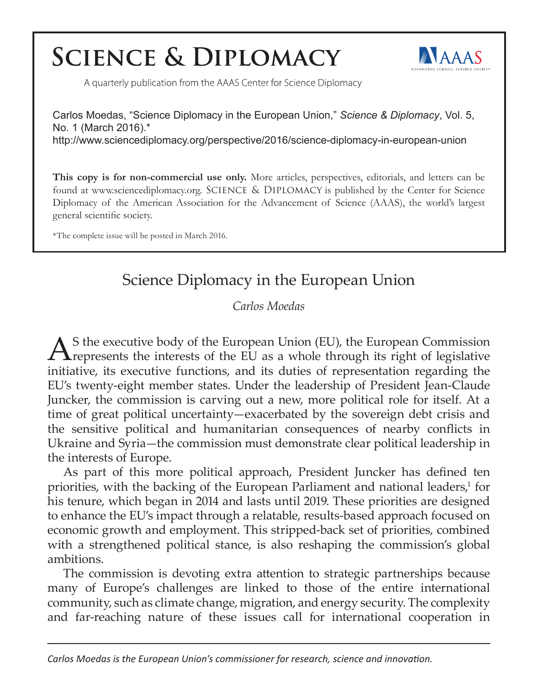# **SCIENCE & DIPLOMACY**



A quarterly publication from the AAAS Center for Science Diplomacy

Carlos Moedas, "Science Diplomacy in the European Union," *Science & Diplomacy*, Vol. 5, No. 1 (March 2016).\* http://www.sciencediplomacy.org/perspective/2016/science-diplomacy-in-european-union

**This copy is for non-commercial use only.** More articles, perspectives, editorials, and letters can be found at www.sciencediplomacy.org. SCIENCE & DIPLOMACY is published by the Center for Science Diplomacy of the American Association for the Advancement of Science (AAAS), the world's largest general scientific society.

\*The complete issue will be posted in March 2016.

## Science Diplomacy in the European Union

*Carlos Moedas*

AS the executive body of the European Union (EU), the European Commission represents the interests of the EU as a whole through its right of legislative initiative, its executive functions, and its duties of representation regarding the EU's twenty-eight member states. Under the leadership of President Jean-Claude Juncker, the commission is carving out a new, more political role for itself. At a time of great political uncertainty—exacerbated by the sovereign debt crisis and the sensitive political and humanitarian consequences of nearby conflicts in Ukraine and Syria—the commission must demonstrate clear political leadership in the interests of Europe.

As part of this more political approach, President Juncker has defined ten priorities, with the backing of the European Parliament and national leaders,<sup>1</sup> for his tenure, which began in 2014 and lasts until 2019. These priorities are designed to enhance the EU's impact through a relatable, results-based approach focused on economic growth and employment. This stripped-back set of priorities, combined with a strengthened political stance, is also reshaping the commission's global ambitions.

The commission is devoting extra attention to strategic partnerships because many of Europe's challenges are linked to those of the entire international community, such as climate change, migration, and energy security. The complexity and far-reaching nature of these issues call for international cooperation in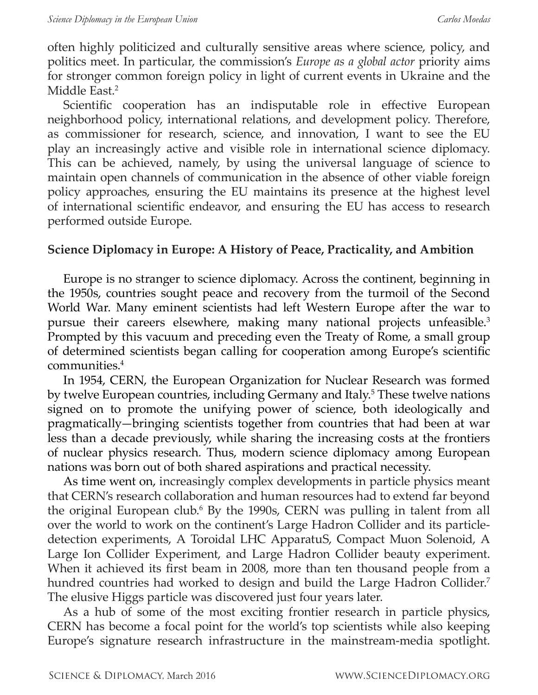often highly politicized and culturally sensitive areas where science, policy, and politics meet. In particular, the commission's *Europe as a global actor* priority aims for stronger common foreign policy in light of current events in Ukraine and the Middle East.<sup>2</sup>

Scientific cooperation has an indisputable role in effective European neighborhood policy, international relations, and development policy. Therefore, as commissioner for research, science, and innovation, I want to see the EU play an increasingly active and visible role in international science diplomacy. This can be achieved, namely, by using the universal language of science to maintain open channels of communication in the absence of other viable foreign policy approaches, ensuring the EU maintains its presence at the highest level of international scientific endeavor, and ensuring the EU has access to research performed outside Europe.

#### **Science Diplomacy in Europe: A History of Peace, Practicality, and Ambition**

Europe is no stranger to science diplomacy. Across the continent, beginning in the 1950s, countries sought peace and recovery from the turmoil of the Second World War. Many eminent scientists had left Western Europe after the war to pursue their careers elsewhere, making many national projects unfeasible.<sup>3</sup> Prompted by this vacuum and preceding even the Treaty of Rome, a small group of determined scientists began calling for cooperation among Europe's scientific communities.4

In 1954, CERN, the European Organization for Nuclear Research was formed by twelve European countries, including Germany and Italy.<sup>5</sup> These twelve nations signed on to promote the unifying power of science, both ideologically and pragmatically—bringing scientists together from countries that had been at war less than a decade previously, while sharing the increasing costs at the frontiers of nuclear physics research. Thus, modern science diplomacy among European nations was born out of both shared aspirations and practical necessity.

As time went on, increasingly complex developments in particle physics meant that CERN's research collaboration and human resources had to extend far beyond the original European club.<sup>6</sup> By the 1990s, CERN was pulling in talent from all over the world to work on the continent's Large Hadron Collider and its particledetection experiments, A Toroidal LHC ApparatuS, Compact Muon Solenoid, A Large Ion Collider Experiment, and Large Hadron Collider beauty experiment. When it achieved its first beam in 2008, more than ten thousand people from a hundred countries had worked to design and build the Large Hadron Collider.<sup>7</sup> The elusive Higgs particle was discovered just four years later.

As a hub of some of the most exciting frontier research in particle physics, CERN has become a focal point for the world's top scientists while also keeping Europe's signature research infrastructure in the mainstream-media spotlight.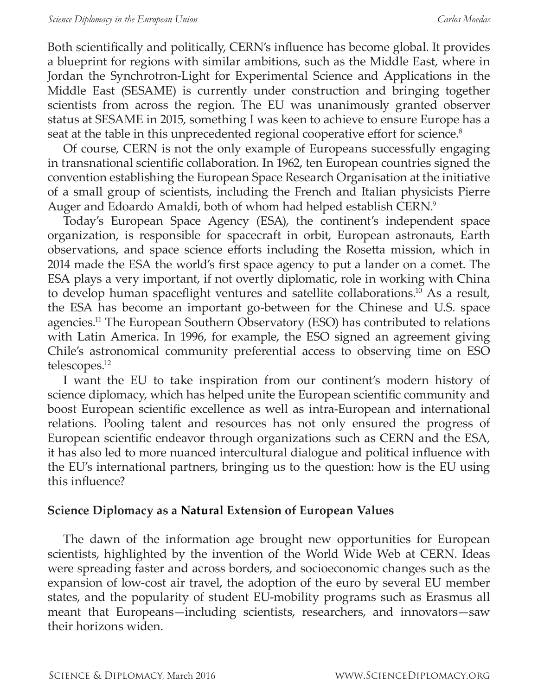Both scientifically and politically, CERN's influence has become global. It provides a blueprint for regions with similar ambitions, such as the Middle East, where in Jordan the Synchrotron-Light for Experimental Science and Applications in the Middle East (SESAME) is currently under construction and bringing together scientists from across the region. The EU was unanimously granted observer status at SESAME in 2015, something I was keen to achieve to ensure Europe has a seat at the table in this unprecedented regional cooperative effort for science.<sup>8</sup>

Of course, CERN is not the only example of Europeans successfully engaging in transnational scientific collaboration. In 1962, ten European countries signed the convention establishing the European Space Research Organisation at the initiative of a small group of scientists, including the French and Italian physicists Pierre Auger and Edoardo Amaldi, both of whom had helped establish CERN.9

Today's European Space Agency (ESA), the continent's independent space organization, is responsible for spacecraft in orbit, European astronauts, Earth observations, and space science efforts including the Rosetta mission, which in 2014 made the ESA the world's first space agency to put a lander on a comet. The ESA plays a very important, if not overtly diplomatic, role in working with China to develop human spaceflight ventures and satellite collaborations.<sup>10</sup> As a result, the ESA has become an important go-between for the Chinese and U.S. space agencies.11 The European Southern Observatory (ESO) has contributed to relations with Latin America. In 1996, for example, the ESO signed an agreement giving Chile's astronomical community preferential access to observing time on ESO telescopes.<sup>12</sup>

I want the EU to take inspiration from our continent's modern history of science diplomacy, which has helped unite the European scientific community and boost European scientific excellence as well as intra-European and international relations. Pooling talent and resources has not only ensured the progress of European scientific endeavor through organizations such as CERN and the ESA, it has also led to more nuanced intercultural dialogue and political influence with the EU's international partners, bringing us to the question: how is the EU using this influence?

#### **Science Diplomacy as a Natural Extension of European Values**

The dawn of the information age brought new opportunities for European scientists, highlighted by the invention of the World Wide Web at CERN. Ideas were spreading faster and across borders, and socioeconomic changes such as the expansion of low-cost air travel, the adoption of the euro by several EU member states, and the popularity of student EU-mobility programs such as Erasmus all meant that Europeans—including scientists, researchers, and innovators—saw their horizons widen.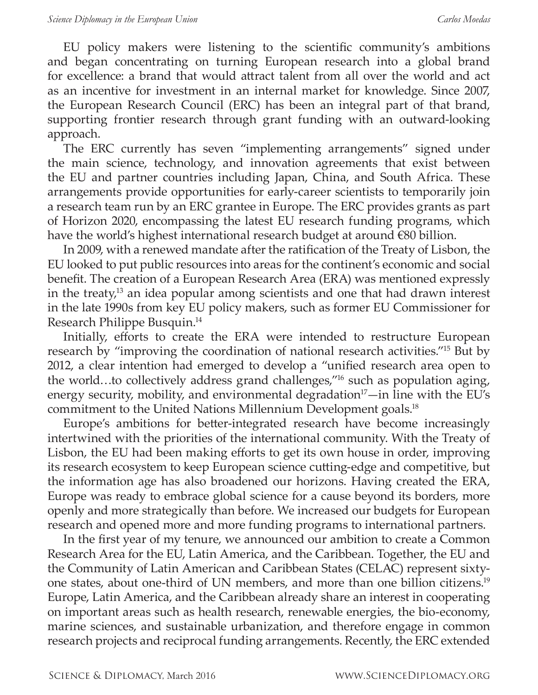EU policy makers were listening to the scientific community's ambitions and began concentrating on turning European research into a global brand for excellence: a brand that would attract talent from all over the world and act as an incentive for investment in an internal market for knowledge. Since 2007, the European Research Council (ERC) has been an integral part of that brand, supporting frontier research through grant funding with an outward-looking approach.

The ERC currently has seven "implementing arrangements" signed under the main science, technology, and innovation agreements that exist between the EU and partner countries including Japan, China, and South Africa. These arrangements provide opportunities for early-career scientists to temporarily join a research team run by an ERC grantee in Europe. The ERC provides grants as part of Horizon 2020, encompassing the latest EU research funding programs, which have the world's highest international research budget at around €80 billion.

In 2009, with a renewed mandate after the ratification of the Treaty of Lisbon, the EU looked to put public resources into areas for the continent's economic and social benefit. The creation of a European Research Area (ERA) was mentioned expressly in the treaty, $13$  an idea popular among scientists and one that had drawn interest in the late 1990s from key EU policy makers, such as former EU Commissioner for Research Philippe Busquin.14

Initially, efforts to create the ERA were intended to restructure European research by "improving the coordination of national research activities."15 But by 2012, a clear intention had emerged to develop a "unified research area open to the world…to collectively address grand challenges,"16 such as population aging, energy security, mobility, and environmental degradation $17$ —in line with the EU's commitment to the United Nations Millennium Development goals.<sup>18</sup>

Europe's ambitions for better-integrated research have become increasingly intertwined with the priorities of the international community. With the Treaty of Lisbon, the EU had been making efforts to get its own house in order, improving its research ecosystem to keep European science cutting-edge and competitive, but the information age has also broadened our horizons. Having created the ERA, Europe was ready to embrace global science for a cause beyond its borders, more openly and more strategically than before. We increased our budgets for European research and opened more and more funding programs to international partners.

In the first year of my tenure, we announced our ambition to create a Common Research Area for the EU, Latin America, and the Caribbean. Together, the EU and the Community of Latin American and Caribbean States (CELAC) represent sixtyone states, about one-third of UN members, and more than one billion citizens.19 Europe, Latin America, and the Caribbean already share an interest in cooperating on important areas such as health research, renewable energies, the bio-economy, marine sciences, and sustainable urbanization, and therefore engage in common research projects and reciprocal funding arrangements. Recently, the ERC extended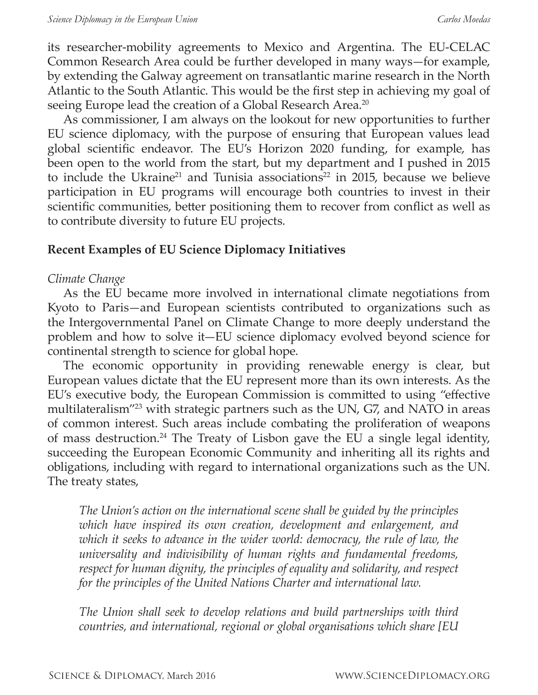its researcher-mobility agreements to Mexico and Argentina. The EU-CELAC Common Research Area could be further developed in many ways—for example, by extending the Galway agreement on transatlantic marine research in the North Atlantic to the South Atlantic. This would be the first step in achieving my goal of seeing Europe lead the creation of a Global Research Area.<sup>20</sup>

As commissioner, I am always on the lookout for new opportunities to further EU science diplomacy, with the purpose of ensuring that European values lead global scientific endeavor. The EU's Horizon 2020 funding, for example, has been open to the world from the start, but my department and I pushed in 2015 to include the Ukraine<sup>21</sup> and Tunisia associations<sup>22</sup> in 2015, because we believe participation in EU programs will encourage both countries to invest in their scientific communities, better positioning them to recover from conflict as well as to contribute diversity to future EU projects.

#### **Recent Examples of EU Science Diplomacy Initiatives**

#### *Climate Change*

As the EU became more involved in international climate negotiations from Kyoto to Paris—and European scientists contributed to organizations such as the Intergovernmental Panel on Climate Change to more deeply understand the problem and how to solve it—EU science diplomacy evolved beyond science for continental strength to science for global hope.

The economic opportunity in providing renewable energy is clear, but European values dictate that the EU represent more than its own interests. As the EU's executive body, the European Commission is committed to using "effective multilateralism<sup>"23</sup> with strategic partners such as the UN, G7, and NATO in areas of common interest. Such areas include combating the proliferation of weapons of mass destruction.24 The Treaty of Lisbon gave the EU a single legal identity, succeeding the European Economic Community and inheriting all its rights and obligations, including with regard to international organizations such as the UN. The treaty states,

*The Union's action on the international scene shall be guided by the principles which have inspired its own creation, development and enlargement, and which it seeks to advance in the wider world: democracy, the rule of law, the universality and indivisibility of human rights and fundamental freedoms, respect for human dignity, the principles of equality and solidarity, and respect for the principles of the United Nations Charter and international law.* 

*The Union shall seek to develop relations and build partnerships with third countries, and international, regional or global organisations which share [EU*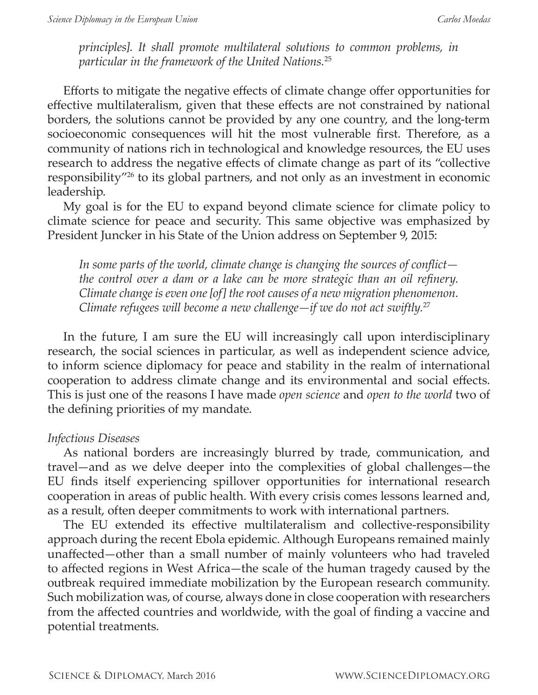*principles]. It shall promote multilateral solutions to common problems, in particular in the framework of the United Nations.*<sup>25</sup>

Efforts to mitigate the negative effects of climate change offer opportunities for effective multilateralism, given that these effects are not constrained by national borders, the solutions cannot be provided by any one country, and the long-term socioeconomic consequences will hit the most vulnerable first. Therefore, as a community of nations rich in technological and knowledge resources, the EU uses research to address the negative effects of climate change as part of its "collective responsibility"26 to its global partners, and not only as an investment in economic leadership.

My goal is for the EU to expand beyond climate science for climate policy to climate science for peace and security. This same objective was emphasized by President Juncker in his State of the Union address on September 9, 2015:

*In some parts of the world, climate change is changing the sources of conflict the control over a dam or a lake can be more strategic than an oil refinery. Climate change is even one [of] the root causes of a new migration phenomenon. Climate refugees will become a new challenge—if we do not act swiftly.*<sup>27</sup>

In the future, I am sure the EU will increasingly call upon interdisciplinary research, the social sciences in particular, as well as independent science advice, to inform science diplomacy for peace and stability in the realm of international cooperation to address climate change and its environmental and social effects. This is just one of the reasons I have made *open science* and *open to the world* two of the defining priorities of my mandate.

#### *Infectious Diseases*

As national borders are increasingly blurred by trade, communication, and travel—and as we delve deeper into the complexities of global challenges—the EU finds itself experiencing spillover opportunities for international research cooperation in areas of public health. With every crisis comes lessons learned and, as a result, often deeper commitments to work with international partners.

The EU extended its effective multilateralism and collective-responsibility approach during the recent Ebola epidemic. Although Europeans remained mainly unaffected—other than a small number of mainly volunteers who had traveled to affected regions in West Africa—the scale of the human tragedy caused by the outbreak required immediate mobilization by the European research community. Such mobilization was, of course, always done in close cooperation with researchers from the affected countries and worldwide, with the goal of finding a vaccine and potential treatments.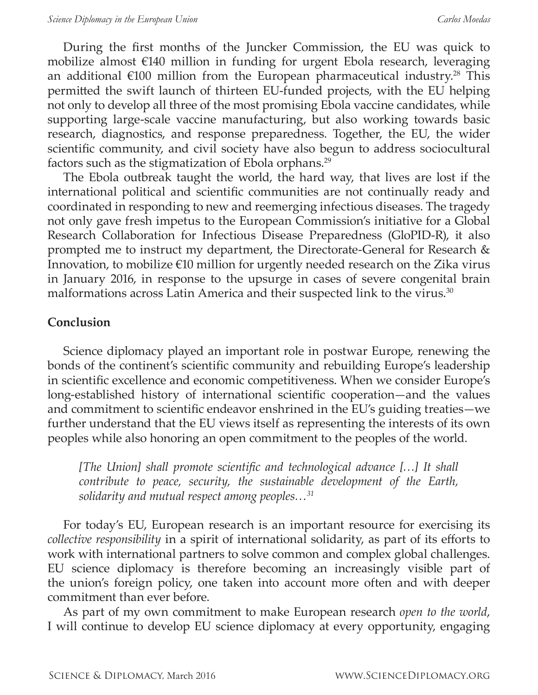During the first months of the Juncker Commission, the EU was quick to mobilize almost €140 million in funding for urgent Ebola research, leveraging an additional  $\epsilon$ 100 million from the European pharmaceutical industry.<sup>28</sup> This permitted the swift launch of thirteen EU-funded projects, with the EU helping not only to develop all three of the most promising Ebola vaccine candidates, while supporting large-scale vaccine manufacturing, but also working towards basic research, diagnostics, and response preparedness. Together, the EU, the wider scientific community, and civil society have also begun to address sociocultural factors such as the stigmatization of Ebola orphans.29

The Ebola outbreak taught the world, the hard way, that lives are lost if the international political and scientific communities are not continually ready and coordinated in responding to new and reemerging infectious diseases. The tragedy not only gave fresh impetus to the European Commission's initiative for a Global Research Collaboration for Infectious Disease Preparedness (GloPID-R), it also prompted me to instruct my department, the Directorate-General for Research & Innovation, to mobilize  $\epsilon$ 10 million for urgently needed research on the Zika virus in January 2016, in response to the upsurge in cases of severe congenital brain malformations across Latin America and their suspected link to the virus.<sup>30</sup>

### **Conclusion**

Science diplomacy played an important role in postwar Europe, renewing the bonds of the continent's scientific community and rebuilding Europe's leadership in scientific excellence and economic competitiveness. When we consider Europe's long-established history of international scientific cooperation—and the values and commitment to scientific endeavor enshrined in the EU's guiding treaties—we further understand that the EU views itself as representing the interests of its own peoples while also honoring an open commitment to the peoples of the world.

*[The Union] shall promote scientific and technological advance […] It shall contribute to peace, security, the sustainable development of the Earth, solidarity and mutual respect among peoples…<sup>31</sup>*

For today's EU, European research is an important resource for exercising its *collective responsibility* in a spirit of international solidarity, as part of its efforts to work with international partners to solve common and complex global challenges. EU science diplomacy is therefore becoming an increasingly visible part of the union's foreign policy, one taken into account more often and with deeper commitment than ever before.

As part of my own commitment to make European research *open to the world*, I will continue to develop EU science diplomacy at every opportunity, engaging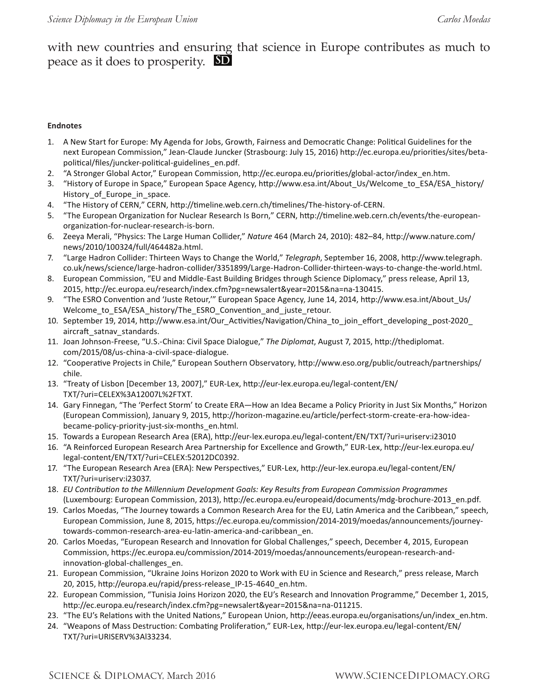with new countries and ensuring that science in Europe contributes as much to peace as it does to prosperity. **SD**

#### **Endnotes**

- 1. A New Start for Europe: My Agenda for Jobs, Growth, Fairness and Democratic Change: Political Guidelines for the next European Commission," Jean-Claude Juncker (Strasbourg: July 15, 2016) http://ec.europa.eu/priorities/sites/betapolitical/files/juncker-political-guidelines\_en.pdf.
- 2. "A Stronger Global Actor," European Commission, http://ec.europa.eu/priorities/global-actor/index\_en.htm.
- 3. "History of Europe in Space," European Space Agency, http://www.esa.int/About\_Us/Welcome\_to\_ESA/ESA\_history/ History of Europe in space.
- 4. "The History of CERN," CERN, http://timeline.web.cern.ch/timelines/The-history-of-CERN.
- 5. "The European Organization for Nuclear Research Is Born," CERN, http://timeline.web.cern.ch/events/the-europeanorganization-for-nuclear-research-is-born.
- 6. Zeeya Merali, "Physics: The Large Human Collider," *Nature* 464 (March 24, 2010): 482–84, http://www.nature.com/ news/2010/100324/full/464482a.html.
- 7. "Large Hadron Collider: Thirteen Ways to Change the World," *Telegraph*, September 16, 2008, http://www.telegraph. co.uk/news/science/large-hadron-collider/3351899/Large-Hadron-Collider-thirteen-ways-to-change-the-world.html.
- 8. European Commission, "EU and Middle-East Building Bridges through Science Diplomacy," press release, April 13, 2015, http://ec.europa.eu/research/index.cfm?pg=newsalert&year=2015&na=na-130415.
- 9. "The ESRO Convention and 'Juste Retour,'" European Space Agency, June 14, 2014, http://www.esa.int/About\_Us/ Welcome\_to\_ESA/ESA\_history/The\_ESRO\_Convention\_and\_juste\_retour.
- 10. September 19, 2014, http://www.esa.int/Our\_Activities/Navigation/China\_to\_join\_effort\_developing\_post-2020\_ aircraft\_satnav\_standards.
- 11. Joan Johnson-Freese, "U.S.-China: Civil Space Dialogue," *The Diplomat*, August 7, 2015, http://thediplomat. com/2015/08/us-china-a-civil-space-dialogue.
- 12. "Cooperative Projects in Chile," European Southern Observatory, http://www.eso.org/public/outreach/partnerships/ chile.
- 13. "Treaty of Lisbon [December 13, 2007]," EUR-Lex, http://eur-lex.europa.eu/legal-content/EN/ TXT/?uri=CELEX%3A12007L%2FTXT.
- 14. Gary Finnegan, "The 'Perfect Storm' to Create ERA—How an Idea Became a Policy Priority in Just Six Months," Horizon (European Commission), January 9, 2015, http://horizon-magazine.eu/article/perfect-storm-create-era-how-ideabecame-policy-priority-just-six-months\_en.html.
- 15. Towards a European Research Area (ERA), http://eur-lex.europa.eu/legal-content/EN/TXT/?uri=uriserv:i23010
- 16. "A Reinforced European Research Area Partnership for Excellence and Growth," EUR-Lex, http://eur-lex.europa.eu/ legal-content/EN/TXT/?uri=CELEX:52012DC0392.
- 17. "The European Research Area (ERA): New Perspectives," EUR-Lex, http://eur-lex.europa.eu/legal-content/EN/ TXT/?uri=uriserv:i23037.
- 18. *EU Contribution to the Millennium Development Goals: Key Results from European Commission Programmes* (Luxembourg: European Commission, 2013), http://ec.europa.eu/europeaid/documents/mdg-brochure-2013\_en.pdf.
- 19. Carlos Moedas, "The Journey towards a Common Research Area for the EU, Latin America and the Caribbean," speech, European Commission, June 8, 2015, https://ec.europa.eu/commission/2014-2019/moedas/announcements/journeytowards-common-research-area-eu-latin-america-and-caribbean\_en.
- 20. Carlos Moedas, "European Research and Innovation for Global Challenges," speech, December 4, 2015, European Commission, https://ec.europa.eu/commission/2014-2019/moedas/announcements/european-research-andinnovation-global-challenges\_en.
- 21. European Commission, "Ukraine Joins Horizon 2020 to Work with EU in Science and Research," press release, March 20, 2015, http://europa.eu/rapid/press-release\_IP-15-4640\_en.htm.
- 22. European Commission, "Tunisia Joins Horizon 2020, the EU's Research and Innovation Programme," December 1, 2015, http://ec.europa.eu/research/index.cfm?pg=newsalert&year=2015&na=na-011215.
- 23. "The EU's Relations with the United Nations," European Union, http://eeas.europa.eu/organisations/un/index\_en.htm.
- 24. "Weapons of Mass Destruction: Combating Proliferation," EUR-Lex, http://eur-lex.europa.eu/legal-content/EN/ TXT/?uri=URISERV%3Al33234.